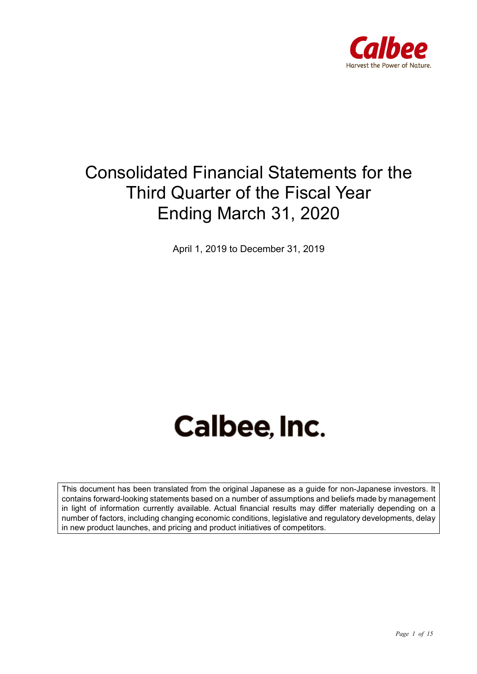

## Consolidated Financial Statements for the Third Quarter of the Fiscal Year Ending March 31, 2020

April 1, 2019 to December 31, 2019

# **Calbee, Inc.**

This document has been translated from the original Japanese as a guide for non-Japanese investors. It contains forward-looking statements based on a number of assumptions and beliefs made by management in light of information currently available. Actual financial results may differ materially depending on a number of factors, including changing economic conditions, legislative and regulatory developments, delay in new product launches, and pricing and product initiatives of competitors.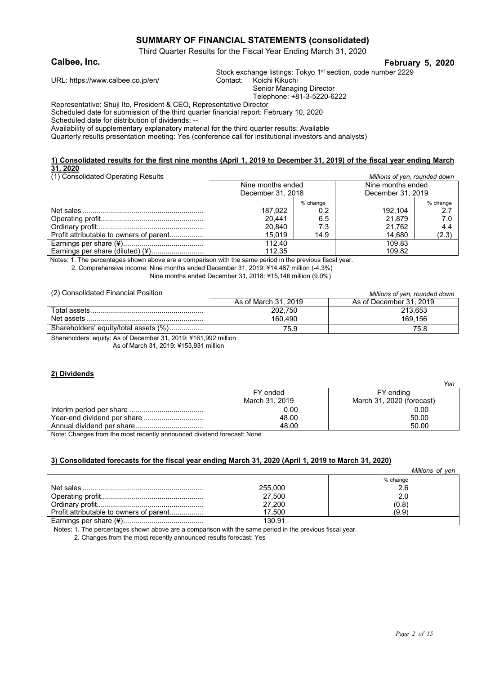#### **SUMMARY OF FINANCIAL STATEMENTS (consolidated)**

Third Quarter Results for the Fiscal Year Ending March 31, 2020

#### **Calbee, Inc. February 5, 2020**

Stock exchange listings: Tokyo 1<sup>st</sup> section, code number 2229 Contact: Koichi Kikuchi

URL: https://www.calbee.co.jp/en/

Senior Managing Director

Telephone: +81-3-5220-6222

Representative: Shuji Ito, President & CEO, Representative Director

Scheduled date for submission of the third quarter financial report: February 10, 2020

Scheduled date for distribution of dividends: --

Availability of supplementary explanatory material for the third quarter results: Available

Quarterly results presentation meeting: Yes (conference call for institutional investors and analysts)

#### **1) Consolidated results for the first nine months (April 1, 2019 to December 31, 2019) of the fiscal year ending March 31, 2020** (1) Consolidated Operating Results *Millions of yen, rounded down*

| (i) Consolidated Operating Results      | <u>Millions</u> of year, rounded down |          |                   |          |
|-----------------------------------------|---------------------------------------|----------|-------------------|----------|
|                                         | Nine months ended                     |          | Nine months ended |          |
|                                         | December 31, 2018                     |          | December 31, 2019 |          |
|                                         |                                       | % change |                   | % change |
|                                         | 187.022                               | 0.2      | 192.104           | 2.7      |
|                                         | 20.441                                | 6.5      | 21.879            | 7.0      |
|                                         | 20.840                                | 7.3      | 21.762            | 4.4      |
| Profit attributable to owners of parent | 15.019                                | 14.9     | 14.680            | (2.3)    |
|                                         | 112.40                                |          | 109.83            |          |
| Earnings per share (diluted) (¥)        | 112.35                                |          | 109.82            |          |

Notes: 1. The percentages shown above are a comparison with the same period in the previous fiscal year.

2. Comprehensive income: Nine months ended December 31, 2019: ¥14,487 million (-4.3%)

Nine months ended December 31, 2018: ¥15,146 million (9.0%)

(2) Consolidated Financial Position *Millions of yen, rounded down*

| $(-)$ concentration . manifest . control.                         | <u>NIIIIUIIS UI VUII. IUUIIUUU UUWII</u> |                         |  |  |
|-------------------------------------------------------------------|------------------------------------------|-------------------------|--|--|
|                                                                   | As of March 31, 2019                     | As of December 31, 2019 |  |  |
|                                                                   | 202.750                                  | 213,653                 |  |  |
|                                                                   | 160.490                                  | 169.156                 |  |  |
| Shareholders' equity/total assets (%)                             | 75.9                                     | 75.8                    |  |  |
| Charakaldere) a milion Annet Denomines 04, 0040; V404,000 million |                                          |                         |  |  |

Shareholders' equity: As of December 31, 2019: ¥161,992 million As of March 31, 2019: ¥153,931 million

#### **2) Dividends**

|                | Yen                       |
|----------------|---------------------------|
| FY ended       | FY ending                 |
| March 31, 2019 | March 31, 2020 (forecast) |
| 0.00           | 0.00                      |
| 48.00          | 50.00                     |
| 48.00          | 50.00                     |
|                | .                         |

Note: Changes from the most recently announced dividend forecast: None

#### **3) Consolidated forecasts for the fiscal year ending March 31, 2020 (April 1, 2019 to March 31, 2020)**

|                                         |         | Millions of ven |
|-----------------------------------------|---------|-----------------|
|                                         |         | % change        |
|                                         | 255,000 | 2.6             |
|                                         | 27,500  | 2.0             |
|                                         | 27,200  | (0.8)           |
| Profit attributable to owners of parent | 17.500  | (9.9)           |
|                                         | 130.91  |                 |

Notes: 1. The percentages shown above are a comparison with the same period in the previous fiscal year.

2. Changes from the most recently announced results forecast: Yes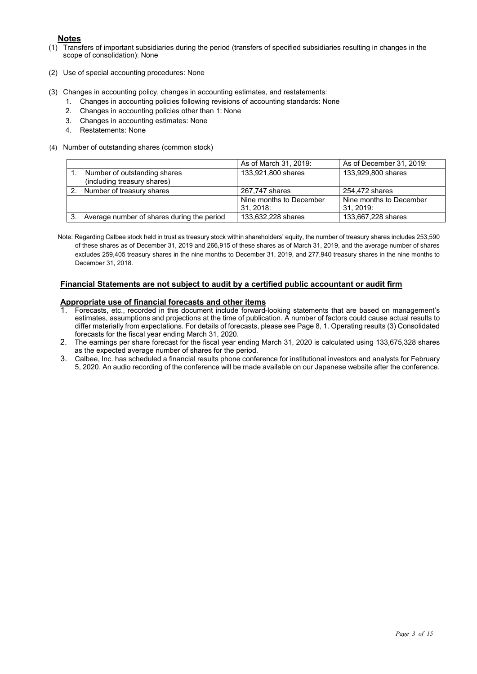- **Notes**<br>(1) Trans Transfers of important subsidiaries during the period (transfers of specified subsidiaries resulting in changes in the scope of consolidation): None
- (2) Use of special accounting procedures: None
- (3) Changes in accounting policy, changes in accounting estimates, and restatements:
	- 1. Changes in accounting policies following revisions of accounting standards: None
	- 2. Changes in accounting policies other than 1: None
	- 3. Changes in accounting estimates: None
	- 4. Restatements: None
- (4) Number of outstanding shares (common stock)

|                |                                                             | As of March 31, 2019:               | As of December 31, 2019:             |
|----------------|-------------------------------------------------------------|-------------------------------------|--------------------------------------|
|                | Number of outstanding shares<br>(including treasury shares) | 133,921,800 shares                  | 133,929,800 shares                   |
| 2 <sup>1</sup> | Number of treasury shares                                   | 267,747 shares                      | 254,472 shares                       |
|                |                                                             | Nine months to December<br>31.2018: | Nine months to December<br>31. 2019: |
|                | Average number of shares during the period                  | 133,632,228 shares                  | 133,667,228 shares                   |

Note: Regarding Calbee stock held in trust as treasury stock within shareholders' equity, the number of treasury shares includes 253,590 of these shares as of December 31, 2019 and 266,915 of these shares as of March 31, 2019, and the average number of shares excludes 259,405 treasury shares in the nine months to December 31, 2019, and 277,940 treasury shares in the nine months to December 31, 2018.

#### **Financial Statements are not subject to audit by a certified public accountant or audit firm**

# **Appropriate use of financial forecasts and other items**<br>1. Forecasts, etc., recorded in this document institute formula

- 1. Forecasts, etc., recorded in this document include forward-looking statements that are based on management's estimates, assumptions and projections at the time of publication. A number of factors could cause actual results to differ materially from expectations. For details of forecasts, please see Page 8, 1. Operating results (3) Consolidated forecasts for the fiscal year ending March 31, 2020.
- 2. The earnings per share forecast for the fiscal year ending March 31, 2020 is calculated using 133,675,328 shares as the expected average number of shares for the period.
- 3. Calbee, Inc. has scheduled a financial results phone conference for institutional investors and analysts for February 5, 2020. An audio recording of the conference will be made available on our Japanese website after the conference.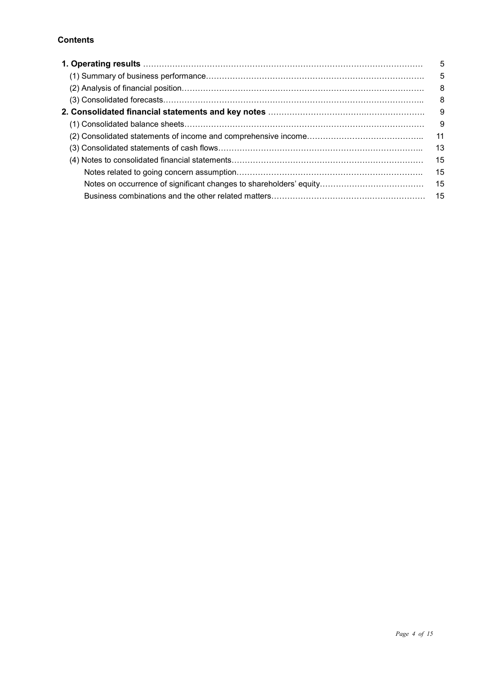#### **Contents**

| 1. Operating results …………………………………………………………………………………………… | 5   |
|----------------------------------------------------------|-----|
|                                                          | 5   |
|                                                          | 8   |
|                                                          | -8  |
|                                                          | - 9 |
|                                                          | 9   |
|                                                          | 11  |
|                                                          | 13  |
|                                                          | 15  |
|                                                          | 15  |
|                                                          | 15  |
|                                                          |     |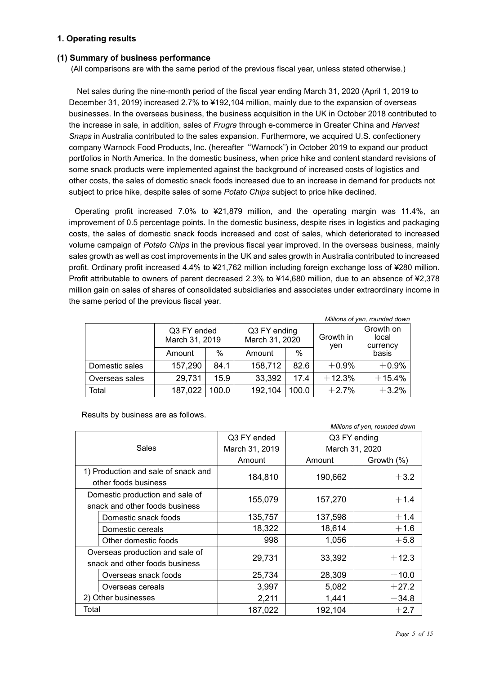#### **1. Operating results**

#### **(1) Summary of business performance**

(All comparisons are with the same period of the previous fiscal year, unless stated otherwise.)

Net sales during the nine-month period of the fiscal year ending March 31, 2020 (April 1, 2019 to December 31, 2019) increased 2.7% to ¥192,104 million, mainly due to the expansion of overseas businesses. In the overseas business, the business acquisition in the UK in October 2018 contributed to the increase in sale, in addition, sales of *Frugra* through e-commerce in Greater China and *Harvest Snaps* in Australia contributed to the sales expansion. Furthermore, we acquired U.S. confectionery company Warnock Food Products, Inc. (hereafter"Warnock") in October 2019 to expand our product portfolios in North America. In the domestic business, when price hike and content standard revisions of some snack products were implemented against the background of increased costs of logistics and other costs, the sales of domestic snack foods increased due to an increase in demand for products not subject to price hike, despite sales of some *Potato Chips* subject to price hike declined.

Operating profit increased 7.0% to ¥21,879 million, and the operating margin was 11.4%, an improvement of 0.5 percentage points. In the domestic business, despite rises in logistics and packaging costs, the sales of domestic snack foods increased and cost of sales, which deteriorated to increased volume campaign of *Potato Chips* in the previous fiscal year improved. In the overseas business, mainly sales growth as well as cost improvements in the UK and sales growth in Australia contributed to increased profit. Ordinary profit increased 4.4% to ¥21,762 million including foreign exchange loss of ¥280 million. Profit attributable to owners of parent decreased 2.3% to ¥14,680 million, due to an absence of ¥2,378 million gain on sales of shares of consolidated subsidiaries and associates under extraordinary income in the same period of the previous fiscal year.

| Millions of yen, rounded down |                               |       |                                |               |                  |                                |
|-------------------------------|-------------------------------|-------|--------------------------------|---------------|------------------|--------------------------------|
|                               | Q3 FY ended<br>March 31, 2019 |       | Q3 FY ending<br>March 31, 2020 |               | Growth in<br>yen | Growth on<br>local<br>currency |
|                               | Amount                        | $\%$  | Amount                         | $\frac{0}{0}$ | basis            |                                |
| Domestic sales                | 157,290                       | 84.1  | 158,712                        | 82.6          | $+0.9%$          | $+0.9%$                        |
| Overseas sales                | 29,731                        | 15.9  | 33,392                         | 17.4          | $+12.3%$         | $+15.4%$                       |
| Total                         | 187,022                       | 100.0 | 192,104                        | 100.0         | $+2.7%$          | $+3.2%$                        |

Results by business are as follows.

| Millions of yen, rounded down  |                                     |                |              |                |  |
|--------------------------------|-------------------------------------|----------------|--------------|----------------|--|
|                                |                                     | Q3 FY ended    | Q3 FY ending |                |  |
|                                | Sales                               | March 31, 2019 |              | March 31, 2020 |  |
|                                |                                     | Amount         | Amount       | Growth (%)     |  |
|                                | 1) Production and sale of snack and | 184,810        | 190,662      |                |  |
|                                | other foods business                |                |              | $+3.2$         |  |
|                                | Domestic production and sale of     | 155,079        | 157,270      |                |  |
| snack and other foods business |                                     |                |              | $+1.4$         |  |
|                                | Domestic snack foods                | 135,757        | 137,598      | $+1.4$         |  |
|                                | Domestic cereals                    | 18,322         | 18,614       | $+1.6$         |  |
|                                | Other domestic foods                | 998            | 1,056        | $+5.8$         |  |
|                                | Overseas production and sale of     |                |              |                |  |
|                                | snack and other foods business      | 29,731         | 33,392       | $+12.3$        |  |
|                                | Overseas snack foods                | 25,734         | 28,309       | $+10.0$        |  |
|                                | Overseas cereals                    | 3,997          | 5,082        | $+27.2$        |  |
| 2) Other businesses            |                                     | 2,211          | 1,441        | $-34.8$        |  |
| Total                          |                                     | 187,022        | 192,104      | $+2.7$         |  |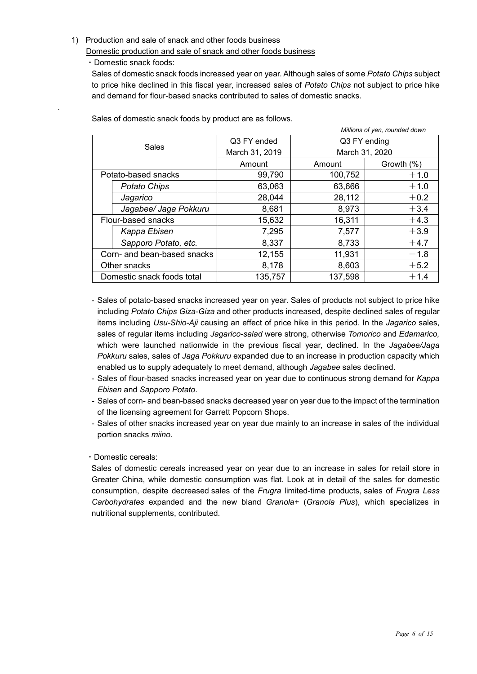#### 1) Production and sale of snack and other foods business

Domestic production and sale of snack and other foods business

・Domestic snack foods:

.

Sales of domestic snack foods increased year on year. Although sales of some *Potato Chips* subject to price hike declined in this fiscal year, increased sales of *Potato Chips* not subject to price hike and demand for flour-based snacks contributed to sales of domestic snacks.

| Millions of yen, rounded down |                             |                |                |            |
|-------------------------------|-----------------------------|----------------|----------------|------------|
| <b>Sales</b>                  |                             | Q3 FY ended    | Q3 FY ending   |            |
|                               |                             | March 31, 2019 | March 31, 2020 |            |
|                               |                             | Amount         | Amount         | Growth (%) |
|                               | Potato-based snacks         | 99,790         | 100,752        | $+1.0$     |
|                               | <b>Potato Chips</b>         | 63,063         | 63,666         | $+1.0$     |
|                               | Jagarico                    | 28,044         | 28,112         | $+0.2$     |
|                               | Jagabee/ Jaga Pokkuru       | 8,681          | 8,973          | $+3.4$     |
|                               | Flour-based snacks          | 15,632         | 16,311         | $+4.3$     |
|                               | Kappa Ebisen                | 7,295          | 7,577          | $+3.9$     |
|                               | Sapporo Potato, etc.        | 8,337          | 8,733          | $+4.7$     |
|                               | Corn- and bean-based snacks | 12,155         | 11,931         | $-1.8$     |
|                               | Other snacks                | 8,178          | 8,603          | $+5.2$     |
| Domestic snack foods total    |                             | 135,757        | 137,598        | $+1.4$     |

Sales of domestic snack foods by product are as follows.

- Sales of potato-based snacks increased year on year. Sales of products not subject to price hike including *Potato Chips Giza-Giza* and other products increased, despite declined sales of regular items including *Usu-Shio-Aji* causing an effect of price hike in this period. In the *Jagarico* sales, sales of regular items including *Jagarico-salad* were strong, otherwise *Tomorico* and *Edamarico,*  which were launched nationwide in the previous fiscal year, declined. In the *Jagabee/Jaga Pokkuru* sales, sales of *Jaga Pokkuru* expanded due to an increase in production capacity which enabled us to supply adequately to meet demand, although *Jagabee* sales declined.
- Sales of flour-based snacks increased year on year due to continuous strong demand for *Kappa Ebisen* and *Sapporo Potato*.
- Sales of corn- and bean-based snacks decreased year on year due to the impact of the termination of the licensing agreement for Garrett Popcorn Shops.
- Sales of other snacks increased year on year due mainly to an increase in sales of the individual portion snacks *miino*.

#### ・Domestic cereals:

Sales of domestic cereals increased year on year due to an increase in sales for retail store in Greater China, while domestic consumption was flat. Look at in detail of the sales for domestic consumption, despite decreased sales of the *Frugra* limited-time products, sales of *Frugra Less Carbohydrates* expanded and the new bland *Granola+* (*Granola Plus*), which specializes in nutritional supplements, contributed.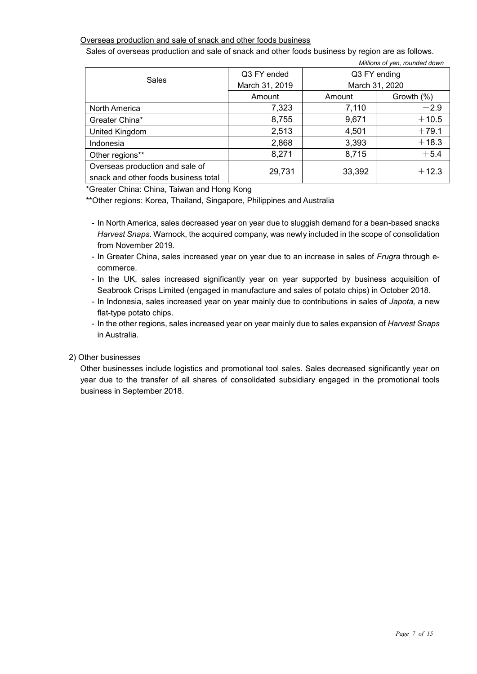#### Overseas production and sale of snack and other foods business

Sales of overseas production and sale of snack and other foods business by region are as follows.

| <b>Sales</b>                                                            | Q3 FY ended    | Q3 FY ending |                |  |
|-------------------------------------------------------------------------|----------------|--------------|----------------|--|
|                                                                         | March 31, 2019 |              | March 31, 2020 |  |
|                                                                         | Amount         | Amount       | Growth (%)     |  |
| North America                                                           | 7,323          | 7,110        | $-2.9$         |  |
| Greater China*                                                          | 8,755          | 9,671        | $+10.5$        |  |
| United Kingdom                                                          | 2,513          | 4,501        | $+79.1$        |  |
| Indonesia                                                               | 2,868          | 3,393        | $+18.3$        |  |
| Other regions**                                                         | 8,271          | 8,715        | $+5.4$         |  |
| Overseas production and sale of<br>snack and other foods business total | 29,731         | 33,392       | $+12.3$        |  |

*Millions of yen, rounded down*

\*Greater China: China, Taiwan and Hong Kong

\*\*Other regions: Korea, Thailand, Singapore, Philippines and Australia

- In North America, sales decreased year on year due to sluggish demand for a bean-based snacks *Harvest Snaps*. Warnock, the acquired company, was newly included in the scope of consolidation from November 2019.
- In Greater China, sales increased year on year due to an increase in sales of *Frugra* through ecommerce.
- In the UK, sales increased significantly year on year supported by business acquisition of Seabrook Crisps Limited (engaged in manufacture and sales of potato chips) in October 2018.
- In Indonesia, sales increased year on year mainly due to contributions in sales of *Japota,* a new flat-type potato chips.
- In the other regions, sales increased year on year mainly due to sales expansion of *Harvest Snaps* in Australia.

#### 2) Other businesses

Other businesses include logistics and promotional tool sales. Sales decreased significantly year on year due to the transfer of all shares of consolidated subsidiary engaged in the promotional tools business in September 2018.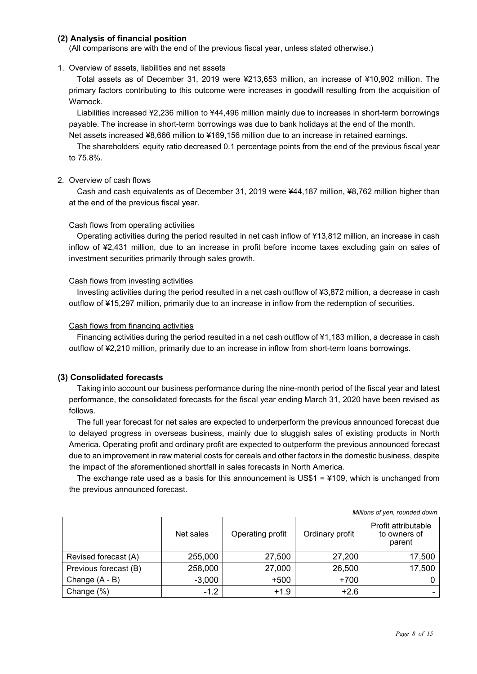#### **(2) Analysis of financial position**

(All comparisons are with the end of the previous fiscal year, unless stated otherwise.)

#### 1. Overview of assets, liabilities and net assets

 Total assets as of December 31, 2019 were ¥213,653 million, an increase of ¥10,902 million. The primary factors contributing to this outcome were increases in goodwill resulting from the acquisition of Warnock.

Liabilities increased ¥2,236 million to ¥44,496 million mainly due to increases in short-term borrowings payable. The increase in short-term borrowings was due to bank holidays at the end of the month. Net assets increased ¥8,666 million to ¥169,156 million due to an increase in retained earnings.

The shareholders' equity ratio decreased 0.1 percentage points from the end of the previous fiscal year to 75.8%.

#### 2. Overview of cash flows

Cash and cash equivalents as of December 31, 2019 were ¥44,187 million, ¥8,762 million higher than at the end of the previous fiscal year.

#### Cash flows from operating activities

Operating activities during the period resulted in net cash inflow of ¥13,812 million, an increase in cash inflow of ¥2,431 million, due to an increase in profit before income taxes excluding gain on sales of investment securities primarily through sales growth.

#### Cash flows from investing activities

Investing activities during the period resulted in a net cash outflow of ¥3,872 million, a decrease in cash outflow of ¥15,297 million, primarily due to an increase in inflow from the redemption of securities.

#### Cash flows from financing activities

Financing activities during the period resulted in a net cash outflow of ¥1,183 million, a decrease in cash outflow of ¥2,210 million, primarily due to an increase in inflow from short-term loans borrowings.

#### **(3) Consolidated forecasts**

Taking into account our business performance during the nine-month period of the fiscal year and latest performance, the consolidated forecasts for the fiscal year ending March 31, 2020 have been revised as follows.

The full year forecast for net sales are expected to underperform the previous announced forecast due to delayed progress in overseas business, mainly due to sluggish sales of existing products in North America. Operating profit and ordinary profit are expected to outperform the previous announced forecast due to an improvement in raw material costs for cereals and other factor*s* in the domestic business, despite the impact of the aforementioned shortfall in sales forecasts in North America.

The exchange rate used as a basis for this announcement is US\$1 = ¥109, which is unchanged from the previous announced forecast.

|                       | Net sales | Operating profit | Ordinary profit | Profit attributable<br>to owners of<br>parent |
|-----------------------|-----------|------------------|-----------------|-----------------------------------------------|
| Revised forecast (A)  | 255,000   | 27,500           | 27,200          | 17,500                                        |
| Previous forecast (B) | 258,000   | 27,000           | 26,500          | 17,500                                        |
| Change (A - B)        | $-3,000$  | $+500$           | $+700$          |                                               |
| Change (%)            | $-1.2$    | $+1.9$           | $+2.6$          |                                               |

*Millions of yen, rounded down*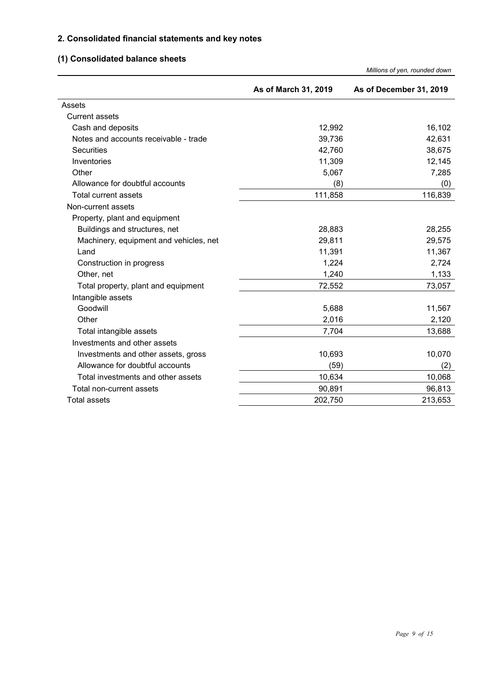### **2. Consolidated financial statements and key notes**

## **(1) Consolidated balance sheets**

|                                        |                      | Millions of yen, rounded down |
|----------------------------------------|----------------------|-------------------------------|
|                                        | As of March 31, 2019 | As of December 31, 2019       |
| Assets                                 |                      |                               |
| <b>Current assets</b>                  |                      |                               |
| Cash and deposits                      | 12,992               | 16,102                        |
| Notes and accounts receivable - trade  | 39,736               | 42,631                        |
| <b>Securities</b>                      | 42,760               | 38,675                        |
| Inventories                            | 11,309               | 12,145                        |
| Other                                  | 5,067                | 7,285                         |
| Allowance for doubtful accounts        | (8)                  | (0)                           |
| <b>Total current assets</b>            | 111,858              | 116,839                       |
| Non-current assets                     |                      |                               |
| Property, plant and equipment          |                      |                               |
| Buildings and structures, net          | 28,883               | 28,255                        |
| Machinery, equipment and vehicles, net | 29,811               | 29,575                        |
| Land                                   | 11,391               | 11,367                        |
| Construction in progress               | 1,224                | 2,724                         |
| Other, net                             | 1,240                | 1,133                         |
| Total property, plant and equipment    | 72,552               | 73,057                        |
| Intangible assets                      |                      |                               |
| Goodwill                               | 5,688                | 11,567                        |
| Other                                  | 2,016                | 2,120                         |
| Total intangible assets                | 7,704                | 13,688                        |
| Investments and other assets           |                      |                               |
| Investments and other assets, gross    | 10,693               | 10,070                        |
| Allowance for doubtful accounts        | (59)                 | (2)                           |
| Total investments and other assets     | 10,634               | 10,068                        |
| Total non-current assets               | 90,891               | 96,813                        |
| <b>Total assets</b>                    | 202,750              | 213,653                       |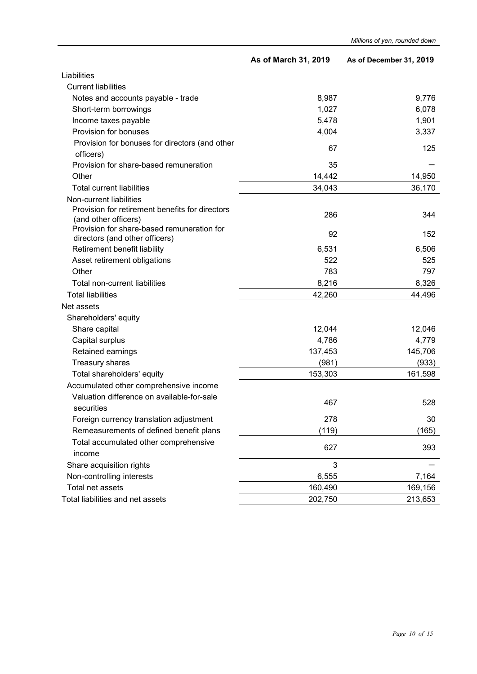|                                                                | As of March 31, 2019 | As of December 31, 2019 |
|----------------------------------------------------------------|----------------------|-------------------------|
| Liabilities                                                    |                      |                         |
| <b>Current liabilities</b>                                     |                      |                         |
| Notes and accounts payable - trade                             | 8,987                | 9,776                   |
| Short-term borrowings                                          | 1,027                | 6,078                   |
| Income taxes payable                                           | 5,478                | 1,901                   |
| Provision for bonuses                                          | 4,004                | 3,337                   |
| Provision for bonuses for directors (and other                 |                      |                         |
| officers)                                                      | 67                   | 125                     |
| Provision for share-based remuneration                         | 35                   |                         |
| Other                                                          | 14,442               | 14,950                  |
| <b>Total current liabilities</b>                               | 34,043               | 36,170                  |
| Non-current liabilities                                        |                      |                         |
| Provision for retirement benefits for directors                | 286                  | 344                     |
| (and other officers)                                           |                      |                         |
| Provision for share-based remuneration for                     | 92                   | 152                     |
| directors (and other officers)<br>Retirement benefit liability | 6,531                | 6,506                   |
| Asset retirement obligations                                   | 522                  | 525                     |
| Other                                                          | 783                  | 797                     |
| <b>Total non-current liabilities</b>                           | 8,216                |                         |
| <b>Total liabilities</b>                                       | 42,260               | 8,326<br>44,496         |
| Net assets                                                     |                      |                         |
| Shareholders' equity                                           |                      |                         |
| Share capital                                                  | 12,044               | 12,046                  |
| Capital surplus                                                | 4,786                | 4,779                   |
| Retained earnings                                              | 137,453              | 145,706                 |
| Treasury shares                                                | (981)                | (933)                   |
| Total shareholders' equity                                     | 153,303              | 161,598                 |
| Accumulated other comprehensive income                         |                      |                         |
| Valuation difference on available-for-sale                     |                      |                         |
| securities                                                     | 467                  | 528                     |
| Foreign currency translation adjustment                        | 278                  | 30                      |
| Remeasurements of defined benefit plans                        | (119)                | (165)                   |
| Total accumulated other comprehensive                          |                      |                         |
| income                                                         | 627                  | 393                     |
| Share acquisition rights                                       | 3                    |                         |
| Non-controlling interests                                      | 6,555                | 7,164                   |
| Total net assets                                               | 160,490              | 169,156                 |
| Total liabilities and net assets                               | 202,750              | 213,653                 |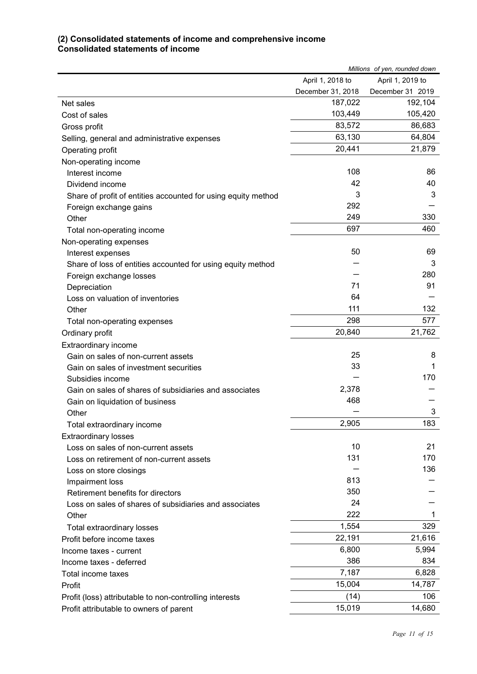#### **(2) Consolidated statements of income and comprehensive income Consolidated statements of income**

| April 1, 2018 to<br>April 1, 2019 to<br>December 31, 2018<br>December 31 2019<br>192,104<br>187,022<br>Net sales<br>103,449<br>105,420<br>Cost of sales<br>83,572<br>86,683<br>Gross profit<br>63,130<br>64,804<br>Selling, general and administrative expenses<br>20,441<br>21,879<br>Operating profit<br>Non-operating income<br>108<br>86<br>Interest income<br>42<br>40<br>Dividend income<br>3<br>3<br>Share of profit of entities accounted for using equity method<br>292<br>Foreign exchange gains<br>249<br>330<br>Other<br>697<br>460<br>Total non-operating income<br>Non-operating expenses<br>50<br>69<br>Interest expenses<br>3<br>Share of loss of entities accounted for using equity method<br>280<br>Foreign exchange losses<br>71<br>91<br>Depreciation<br>64<br>Loss on valuation of inventories<br>111<br>132<br>Other<br>298<br>577<br>Total non-operating expenses<br>20,840<br>21,762<br>Ordinary profit<br>Extraordinary income<br>25<br>8<br>Gain on sales of non-current assets<br>33<br>1<br>Gain on sales of investment securities<br>170<br>Subsidies income<br>2,378<br>Gain on sales of shares of subsidiaries and associates<br>468<br>Gain on liquidation of business<br>3<br>Other<br>183<br>2,905<br>Total extraordinary income<br><b>Extraordinary losses</b><br>10<br>21<br>Loss on sales of non-current assets<br>131<br>170<br>Loss on retirement of non-current assets<br>136<br>Loss on store closings<br>813<br>Impairment loss<br>350<br>Retirement benefits for directors<br>24<br>Loss on sales of shares of subsidiaries and associates<br>222<br>1<br>Other<br>1,554<br>329<br>Total extraordinary losses<br>22,191<br>21,616<br>Profit before income taxes<br>6,800<br>5,994<br>Income taxes - current<br>386<br>834<br>Income taxes - deferred<br>7,187<br>6,828<br>Total income taxes<br>15,004<br>14,787<br>Profit<br>106<br>(14)<br>Profit (loss) attributable to non-controlling interests<br>15,019<br>14,680<br>Profit attributable to owners of parent | Millions of yen, rounded down |  |
|-----------------------------------------------------------------------------------------------------------------------------------------------------------------------------------------------------------------------------------------------------------------------------------------------------------------------------------------------------------------------------------------------------------------------------------------------------------------------------------------------------------------------------------------------------------------------------------------------------------------------------------------------------------------------------------------------------------------------------------------------------------------------------------------------------------------------------------------------------------------------------------------------------------------------------------------------------------------------------------------------------------------------------------------------------------------------------------------------------------------------------------------------------------------------------------------------------------------------------------------------------------------------------------------------------------------------------------------------------------------------------------------------------------------------------------------------------------------------------------------------------------------------------------------------------------------------------------------------------------------------------------------------------------------------------------------------------------------------------------------------------------------------------------------------------------------------------------------------------------------------------------------------------------------------------------------------------------------------------------------------------------------|-------------------------------|--|
|                                                                                                                                                                                                                                                                                                                                                                                                                                                                                                                                                                                                                                                                                                                                                                                                                                                                                                                                                                                                                                                                                                                                                                                                                                                                                                                                                                                                                                                                                                                                                                                                                                                                                                                                                                                                                                                                                                                                                                                                                 |                               |  |
|                                                                                                                                                                                                                                                                                                                                                                                                                                                                                                                                                                                                                                                                                                                                                                                                                                                                                                                                                                                                                                                                                                                                                                                                                                                                                                                                                                                                                                                                                                                                                                                                                                                                                                                                                                                                                                                                                                                                                                                                                 |                               |  |
|                                                                                                                                                                                                                                                                                                                                                                                                                                                                                                                                                                                                                                                                                                                                                                                                                                                                                                                                                                                                                                                                                                                                                                                                                                                                                                                                                                                                                                                                                                                                                                                                                                                                                                                                                                                                                                                                                                                                                                                                                 |                               |  |
|                                                                                                                                                                                                                                                                                                                                                                                                                                                                                                                                                                                                                                                                                                                                                                                                                                                                                                                                                                                                                                                                                                                                                                                                                                                                                                                                                                                                                                                                                                                                                                                                                                                                                                                                                                                                                                                                                                                                                                                                                 |                               |  |
|                                                                                                                                                                                                                                                                                                                                                                                                                                                                                                                                                                                                                                                                                                                                                                                                                                                                                                                                                                                                                                                                                                                                                                                                                                                                                                                                                                                                                                                                                                                                                                                                                                                                                                                                                                                                                                                                                                                                                                                                                 |                               |  |
|                                                                                                                                                                                                                                                                                                                                                                                                                                                                                                                                                                                                                                                                                                                                                                                                                                                                                                                                                                                                                                                                                                                                                                                                                                                                                                                                                                                                                                                                                                                                                                                                                                                                                                                                                                                                                                                                                                                                                                                                                 |                               |  |
|                                                                                                                                                                                                                                                                                                                                                                                                                                                                                                                                                                                                                                                                                                                                                                                                                                                                                                                                                                                                                                                                                                                                                                                                                                                                                                                                                                                                                                                                                                                                                                                                                                                                                                                                                                                                                                                                                                                                                                                                                 |                               |  |
|                                                                                                                                                                                                                                                                                                                                                                                                                                                                                                                                                                                                                                                                                                                                                                                                                                                                                                                                                                                                                                                                                                                                                                                                                                                                                                                                                                                                                                                                                                                                                                                                                                                                                                                                                                                                                                                                                                                                                                                                                 |                               |  |
|                                                                                                                                                                                                                                                                                                                                                                                                                                                                                                                                                                                                                                                                                                                                                                                                                                                                                                                                                                                                                                                                                                                                                                                                                                                                                                                                                                                                                                                                                                                                                                                                                                                                                                                                                                                                                                                                                                                                                                                                                 |                               |  |
|                                                                                                                                                                                                                                                                                                                                                                                                                                                                                                                                                                                                                                                                                                                                                                                                                                                                                                                                                                                                                                                                                                                                                                                                                                                                                                                                                                                                                                                                                                                                                                                                                                                                                                                                                                                                                                                                                                                                                                                                                 |                               |  |
|                                                                                                                                                                                                                                                                                                                                                                                                                                                                                                                                                                                                                                                                                                                                                                                                                                                                                                                                                                                                                                                                                                                                                                                                                                                                                                                                                                                                                                                                                                                                                                                                                                                                                                                                                                                                                                                                                                                                                                                                                 |                               |  |
|                                                                                                                                                                                                                                                                                                                                                                                                                                                                                                                                                                                                                                                                                                                                                                                                                                                                                                                                                                                                                                                                                                                                                                                                                                                                                                                                                                                                                                                                                                                                                                                                                                                                                                                                                                                                                                                                                                                                                                                                                 |                               |  |
|                                                                                                                                                                                                                                                                                                                                                                                                                                                                                                                                                                                                                                                                                                                                                                                                                                                                                                                                                                                                                                                                                                                                                                                                                                                                                                                                                                                                                                                                                                                                                                                                                                                                                                                                                                                                                                                                                                                                                                                                                 |                               |  |
|                                                                                                                                                                                                                                                                                                                                                                                                                                                                                                                                                                                                                                                                                                                                                                                                                                                                                                                                                                                                                                                                                                                                                                                                                                                                                                                                                                                                                                                                                                                                                                                                                                                                                                                                                                                                                                                                                                                                                                                                                 |                               |  |
|                                                                                                                                                                                                                                                                                                                                                                                                                                                                                                                                                                                                                                                                                                                                                                                                                                                                                                                                                                                                                                                                                                                                                                                                                                                                                                                                                                                                                                                                                                                                                                                                                                                                                                                                                                                                                                                                                                                                                                                                                 |                               |  |
|                                                                                                                                                                                                                                                                                                                                                                                                                                                                                                                                                                                                                                                                                                                                                                                                                                                                                                                                                                                                                                                                                                                                                                                                                                                                                                                                                                                                                                                                                                                                                                                                                                                                                                                                                                                                                                                                                                                                                                                                                 |                               |  |
|                                                                                                                                                                                                                                                                                                                                                                                                                                                                                                                                                                                                                                                                                                                                                                                                                                                                                                                                                                                                                                                                                                                                                                                                                                                                                                                                                                                                                                                                                                                                                                                                                                                                                                                                                                                                                                                                                                                                                                                                                 |                               |  |
|                                                                                                                                                                                                                                                                                                                                                                                                                                                                                                                                                                                                                                                                                                                                                                                                                                                                                                                                                                                                                                                                                                                                                                                                                                                                                                                                                                                                                                                                                                                                                                                                                                                                                                                                                                                                                                                                                                                                                                                                                 |                               |  |
|                                                                                                                                                                                                                                                                                                                                                                                                                                                                                                                                                                                                                                                                                                                                                                                                                                                                                                                                                                                                                                                                                                                                                                                                                                                                                                                                                                                                                                                                                                                                                                                                                                                                                                                                                                                                                                                                                                                                                                                                                 |                               |  |
|                                                                                                                                                                                                                                                                                                                                                                                                                                                                                                                                                                                                                                                                                                                                                                                                                                                                                                                                                                                                                                                                                                                                                                                                                                                                                                                                                                                                                                                                                                                                                                                                                                                                                                                                                                                                                                                                                                                                                                                                                 |                               |  |
|                                                                                                                                                                                                                                                                                                                                                                                                                                                                                                                                                                                                                                                                                                                                                                                                                                                                                                                                                                                                                                                                                                                                                                                                                                                                                                                                                                                                                                                                                                                                                                                                                                                                                                                                                                                                                                                                                                                                                                                                                 |                               |  |
|                                                                                                                                                                                                                                                                                                                                                                                                                                                                                                                                                                                                                                                                                                                                                                                                                                                                                                                                                                                                                                                                                                                                                                                                                                                                                                                                                                                                                                                                                                                                                                                                                                                                                                                                                                                                                                                                                                                                                                                                                 |                               |  |
|                                                                                                                                                                                                                                                                                                                                                                                                                                                                                                                                                                                                                                                                                                                                                                                                                                                                                                                                                                                                                                                                                                                                                                                                                                                                                                                                                                                                                                                                                                                                                                                                                                                                                                                                                                                                                                                                                                                                                                                                                 |                               |  |
|                                                                                                                                                                                                                                                                                                                                                                                                                                                                                                                                                                                                                                                                                                                                                                                                                                                                                                                                                                                                                                                                                                                                                                                                                                                                                                                                                                                                                                                                                                                                                                                                                                                                                                                                                                                                                                                                                                                                                                                                                 |                               |  |
|                                                                                                                                                                                                                                                                                                                                                                                                                                                                                                                                                                                                                                                                                                                                                                                                                                                                                                                                                                                                                                                                                                                                                                                                                                                                                                                                                                                                                                                                                                                                                                                                                                                                                                                                                                                                                                                                                                                                                                                                                 |                               |  |
|                                                                                                                                                                                                                                                                                                                                                                                                                                                                                                                                                                                                                                                                                                                                                                                                                                                                                                                                                                                                                                                                                                                                                                                                                                                                                                                                                                                                                                                                                                                                                                                                                                                                                                                                                                                                                                                                                                                                                                                                                 |                               |  |
|                                                                                                                                                                                                                                                                                                                                                                                                                                                                                                                                                                                                                                                                                                                                                                                                                                                                                                                                                                                                                                                                                                                                                                                                                                                                                                                                                                                                                                                                                                                                                                                                                                                                                                                                                                                                                                                                                                                                                                                                                 |                               |  |
|                                                                                                                                                                                                                                                                                                                                                                                                                                                                                                                                                                                                                                                                                                                                                                                                                                                                                                                                                                                                                                                                                                                                                                                                                                                                                                                                                                                                                                                                                                                                                                                                                                                                                                                                                                                                                                                                                                                                                                                                                 |                               |  |
|                                                                                                                                                                                                                                                                                                                                                                                                                                                                                                                                                                                                                                                                                                                                                                                                                                                                                                                                                                                                                                                                                                                                                                                                                                                                                                                                                                                                                                                                                                                                                                                                                                                                                                                                                                                                                                                                                                                                                                                                                 |                               |  |
|                                                                                                                                                                                                                                                                                                                                                                                                                                                                                                                                                                                                                                                                                                                                                                                                                                                                                                                                                                                                                                                                                                                                                                                                                                                                                                                                                                                                                                                                                                                                                                                                                                                                                                                                                                                                                                                                                                                                                                                                                 |                               |  |
|                                                                                                                                                                                                                                                                                                                                                                                                                                                                                                                                                                                                                                                                                                                                                                                                                                                                                                                                                                                                                                                                                                                                                                                                                                                                                                                                                                                                                                                                                                                                                                                                                                                                                                                                                                                                                                                                                                                                                                                                                 |                               |  |
|                                                                                                                                                                                                                                                                                                                                                                                                                                                                                                                                                                                                                                                                                                                                                                                                                                                                                                                                                                                                                                                                                                                                                                                                                                                                                                                                                                                                                                                                                                                                                                                                                                                                                                                                                                                                                                                                                                                                                                                                                 |                               |  |
|                                                                                                                                                                                                                                                                                                                                                                                                                                                                                                                                                                                                                                                                                                                                                                                                                                                                                                                                                                                                                                                                                                                                                                                                                                                                                                                                                                                                                                                                                                                                                                                                                                                                                                                                                                                                                                                                                                                                                                                                                 |                               |  |
|                                                                                                                                                                                                                                                                                                                                                                                                                                                                                                                                                                                                                                                                                                                                                                                                                                                                                                                                                                                                                                                                                                                                                                                                                                                                                                                                                                                                                                                                                                                                                                                                                                                                                                                                                                                                                                                                                                                                                                                                                 |                               |  |
|                                                                                                                                                                                                                                                                                                                                                                                                                                                                                                                                                                                                                                                                                                                                                                                                                                                                                                                                                                                                                                                                                                                                                                                                                                                                                                                                                                                                                                                                                                                                                                                                                                                                                                                                                                                                                                                                                                                                                                                                                 |                               |  |
|                                                                                                                                                                                                                                                                                                                                                                                                                                                                                                                                                                                                                                                                                                                                                                                                                                                                                                                                                                                                                                                                                                                                                                                                                                                                                                                                                                                                                                                                                                                                                                                                                                                                                                                                                                                                                                                                                                                                                                                                                 |                               |  |
|                                                                                                                                                                                                                                                                                                                                                                                                                                                                                                                                                                                                                                                                                                                                                                                                                                                                                                                                                                                                                                                                                                                                                                                                                                                                                                                                                                                                                                                                                                                                                                                                                                                                                                                                                                                                                                                                                                                                                                                                                 |                               |  |
|                                                                                                                                                                                                                                                                                                                                                                                                                                                                                                                                                                                                                                                                                                                                                                                                                                                                                                                                                                                                                                                                                                                                                                                                                                                                                                                                                                                                                                                                                                                                                                                                                                                                                                                                                                                                                                                                                                                                                                                                                 |                               |  |
|                                                                                                                                                                                                                                                                                                                                                                                                                                                                                                                                                                                                                                                                                                                                                                                                                                                                                                                                                                                                                                                                                                                                                                                                                                                                                                                                                                                                                                                                                                                                                                                                                                                                                                                                                                                                                                                                                                                                                                                                                 |                               |  |
|                                                                                                                                                                                                                                                                                                                                                                                                                                                                                                                                                                                                                                                                                                                                                                                                                                                                                                                                                                                                                                                                                                                                                                                                                                                                                                                                                                                                                                                                                                                                                                                                                                                                                                                                                                                                                                                                                                                                                                                                                 |                               |  |
|                                                                                                                                                                                                                                                                                                                                                                                                                                                                                                                                                                                                                                                                                                                                                                                                                                                                                                                                                                                                                                                                                                                                                                                                                                                                                                                                                                                                                                                                                                                                                                                                                                                                                                                                                                                                                                                                                                                                                                                                                 |                               |  |
|                                                                                                                                                                                                                                                                                                                                                                                                                                                                                                                                                                                                                                                                                                                                                                                                                                                                                                                                                                                                                                                                                                                                                                                                                                                                                                                                                                                                                                                                                                                                                                                                                                                                                                                                                                                                                                                                                                                                                                                                                 |                               |  |
|                                                                                                                                                                                                                                                                                                                                                                                                                                                                                                                                                                                                                                                                                                                                                                                                                                                                                                                                                                                                                                                                                                                                                                                                                                                                                                                                                                                                                                                                                                                                                                                                                                                                                                                                                                                                                                                                                                                                                                                                                 |                               |  |
|                                                                                                                                                                                                                                                                                                                                                                                                                                                                                                                                                                                                                                                                                                                                                                                                                                                                                                                                                                                                                                                                                                                                                                                                                                                                                                                                                                                                                                                                                                                                                                                                                                                                                                                                                                                                                                                                                                                                                                                                                 |                               |  |
|                                                                                                                                                                                                                                                                                                                                                                                                                                                                                                                                                                                                                                                                                                                                                                                                                                                                                                                                                                                                                                                                                                                                                                                                                                                                                                                                                                                                                                                                                                                                                                                                                                                                                                                                                                                                                                                                                                                                                                                                                 |                               |  |
|                                                                                                                                                                                                                                                                                                                                                                                                                                                                                                                                                                                                                                                                                                                                                                                                                                                                                                                                                                                                                                                                                                                                                                                                                                                                                                                                                                                                                                                                                                                                                                                                                                                                                                                                                                                                                                                                                                                                                                                                                 |                               |  |
|                                                                                                                                                                                                                                                                                                                                                                                                                                                                                                                                                                                                                                                                                                                                                                                                                                                                                                                                                                                                                                                                                                                                                                                                                                                                                                                                                                                                                                                                                                                                                                                                                                                                                                                                                                                                                                                                                                                                                                                                                 |                               |  |
|                                                                                                                                                                                                                                                                                                                                                                                                                                                                                                                                                                                                                                                                                                                                                                                                                                                                                                                                                                                                                                                                                                                                                                                                                                                                                                                                                                                                                                                                                                                                                                                                                                                                                                                                                                                                                                                                                                                                                                                                                 |                               |  |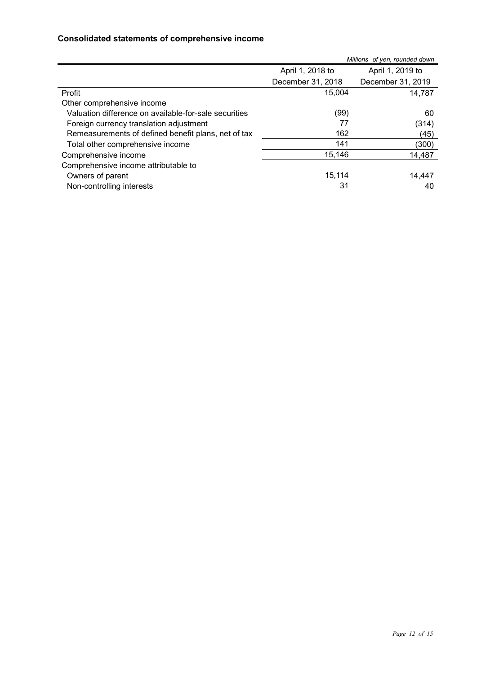### **Consolidated statements of comprehensive income**

|                                                       |                   | Millions of yen, rounded down |
|-------------------------------------------------------|-------------------|-------------------------------|
|                                                       | April 1, 2018 to  | April 1, 2019 to              |
|                                                       | December 31, 2018 | December 31, 2019             |
| Profit                                                | 15,004            | 14,787                        |
| Other comprehensive income                            |                   |                               |
| Valuation difference on available-for-sale securities | (99)              | 60                            |
| Foreign currency translation adjustment               | 77                | (314)                         |
| Remeasurements of defined benefit plans, net of tax   | 162               | (45)                          |
| Total other comprehensive income                      | 141               | (300)                         |
| Comprehensive income                                  | 15,146            | 14,487                        |
| Comprehensive income attributable to                  |                   |                               |
| Owners of parent                                      | 15,114            | 14,447                        |
| Non-controlling interests                             | 31                | 40                            |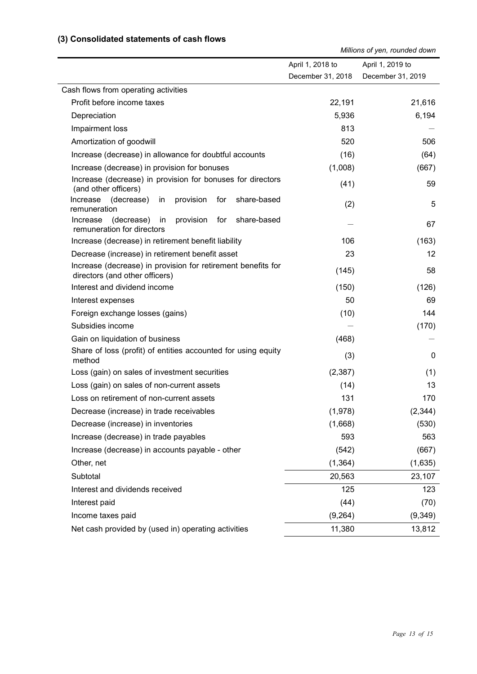#### **(3) Consolidated statements of cash flows**

*Millions of yen, rounded down*

|                                                                                                | April 1, 2018 to  | April 1, 2019 to  |
|------------------------------------------------------------------------------------------------|-------------------|-------------------|
|                                                                                                | December 31, 2018 | December 31, 2019 |
| Cash flows from operating activities                                                           |                   |                   |
| Profit before income taxes                                                                     | 22,191            | 21,616            |
| Depreciation                                                                                   | 5,936             | 6,194             |
| Impairment loss                                                                                | 813               |                   |
| Amortization of goodwill                                                                       | 520               | 506               |
| Increase (decrease) in allowance for doubtful accounts                                         | (16)              | (64)              |
| Increase (decrease) in provision for bonuses                                                   | (1,008)           | (667)             |
| Increase (decrease) in provision for bonuses for directors<br>(and other officers)             | (41)              | 59                |
| share-based<br>Increase<br>(decrease)<br>provision<br>for<br>in<br>remuneration                | (2)               | 5                 |
| (decrease) in<br>provision<br>for<br>share-based<br>Increase<br>remuneration for directors     |                   | 67                |
| Increase (decrease) in retirement benefit liability                                            | 106               | (163)             |
| Decrease (increase) in retirement benefit asset                                                | 23                | 12                |
| Increase (decrease) in provision for retirement benefits for<br>directors (and other officers) | (145)             | 58                |
| Interest and dividend income                                                                   | (150)             | (126)             |
| Interest expenses                                                                              | 50                | 69                |
| Foreign exchange losses (gains)                                                                | (10)              | 144               |
| Subsidies income                                                                               |                   | (170)             |
| Gain on liquidation of business                                                                | (468)             |                   |
| Share of loss (profit) of entities accounted for using equity<br>method                        | (3)               | 0                 |
| Loss (gain) on sales of investment securities                                                  | (2, 387)          | (1)               |
| Loss (gain) on sales of non-current assets                                                     | (14)              | 13                |
| Loss on retirement of non-current assets                                                       | 131               | 170               |
| Decrease (increase) in trade receivables                                                       | (1,978)           | (2, 344)          |
| Decrease (increase) in inventories                                                             | (1,668)           | (530)             |
| Increase (decrease) in trade payables                                                          | 593               | 563               |
| Increase (decrease) in accounts payable - other                                                | (542)             | (667)             |
| Other, net                                                                                     | (1, 364)          | (1,635)           |
| Subtotal                                                                                       | 20,563            | 23,107            |
| Interest and dividends received                                                                | 125               | 123               |
| Interest paid                                                                                  | (44)              | (70)              |
| Income taxes paid                                                                              | (9, 264)          | (9,349)           |
| Net cash provided by (used in) operating activities                                            | 11,380            | 13,812            |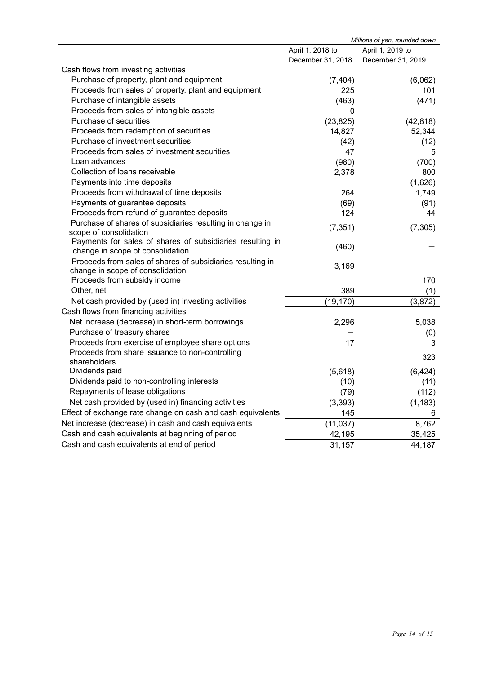| Millions of yen, rounded down                                                                 |                   |                   |
|-----------------------------------------------------------------------------------------------|-------------------|-------------------|
|                                                                                               | April 1, 2018 to  | April 1, 2019 to  |
|                                                                                               | December 31, 2018 | December 31, 2019 |
| Cash flows from investing activities                                                          |                   |                   |
| Purchase of property, plant and equipment                                                     | (7, 404)          | (6,062)           |
| Proceeds from sales of property, plant and equipment                                          | 225               | 101               |
| Purchase of intangible assets                                                                 | (463)             | (471)             |
| Proceeds from sales of intangible assets                                                      | 0                 |                   |
| Purchase of securities                                                                        | (23, 825)         | (42, 818)         |
| Proceeds from redemption of securities                                                        | 14,827            | 52,344            |
| Purchase of investment securities                                                             | (42)              | (12)              |
| Proceeds from sales of investment securities                                                  | 47                | 5                 |
| Loan advances                                                                                 | (980)             | (700)             |
| Collection of loans receivable                                                                | 2,378             | 800               |
| Payments into time deposits                                                                   |                   | (1,626)           |
| Proceeds from withdrawal of time deposits                                                     | 264               | 1,749             |
| Payments of guarantee deposits                                                                | (69)              | (91)              |
| Proceeds from refund of guarantee deposits                                                    | 124               | 44                |
| Purchase of shares of subsidiaries resulting in change in                                     | (7, 351)          | (7, 305)          |
| scope of consolidation                                                                        |                   |                   |
| Payments for sales of shares of subsidiaries resulting in<br>change in scope of consolidation | (460)             |                   |
| Proceeds from sales of shares of subsidiaries resulting in                                    |                   |                   |
| change in scope of consolidation                                                              | 3,169             |                   |
| Proceeds from subsidy income                                                                  |                   | 170               |
| Other, net                                                                                    | 389               | (1)               |
| Net cash provided by (used in) investing activities                                           | (19, 170)         | (3,872)           |
| Cash flows from financing activities                                                          |                   |                   |
| Net increase (decrease) in short-term borrowings                                              | 2,296             | 5,038             |
| Purchase of treasury shares                                                                   |                   | (0)               |
| Proceeds from exercise of employee share options                                              | 17                | 3                 |
| Proceeds from share issuance to non-controlling                                               |                   |                   |
| shareholders                                                                                  |                   | 323               |
| Dividends paid                                                                                | (5,618)           | (6, 424)          |
| Dividends paid to non-controlling interests                                                   | (10)              | (11)              |
| Repayments of lease obligations                                                               | (79)              | (112)             |
| Net cash provided by (used in) financing activities                                           | (3, 393)          | (1, 183)          |
| Effect of exchange rate change on cash and cash equivalents                                   | 145               | 6                 |
| Net increase (decrease) in cash and cash equivalents                                          | (11, 037)         | 8,762             |
| Cash and cash equivalents at beginning of period                                              | 42,195            | 35,425            |
| Cash and cash equivalents at end of period                                                    | 31,157            | 44,187            |